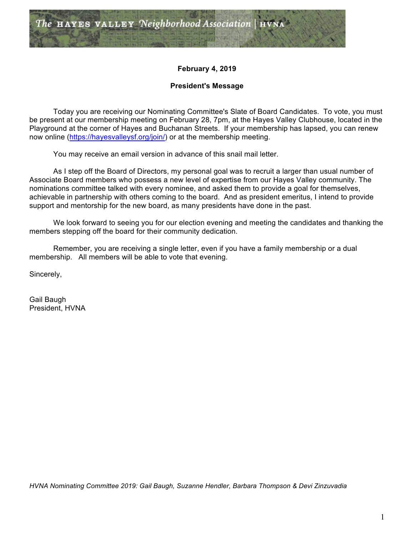

# **February 4, 2019**

# **President's Message**

Today you are receiving our Nominating Committee's Slate of Board Candidates. To vote, you must be present at our membership meeting on February 28, 7pm, at the Hayes Valley Clubhouse, located in the Playground at the corner of Hayes and Buchanan Streets. If your membership has lapsed, you can renew now online (https://hayesvalleysf.org/join/) or at the membership meeting.

You may receive an email version in advance of this snail mail letter.

As I step off the Board of Directors, my personal goal was to recruit a larger than usual number of Associate Board members who possess a new level of expertise from our Hayes Valley community. The nominations committee talked with every nominee, and asked them to provide a goal for themselves, achievable in partnership with others coming to the board. And as president emeritus, I intend to provide support and mentorship for the new board, as many presidents have done in the past.

We look forward to seeing you for our election evening and meeting the candidates and thanking the members stepping off the board for their community dedication.

Remember, you are receiving a single letter, even if you have a family membership or a dual membership. All members will be able to vote that evening.

Sincerely,

Gail Baugh President, HVNA

*HVNA Nominating Committee 2019: Gail Baugh, Suzanne Hendler, Barbara Thompson & Devi Zinzuvadia*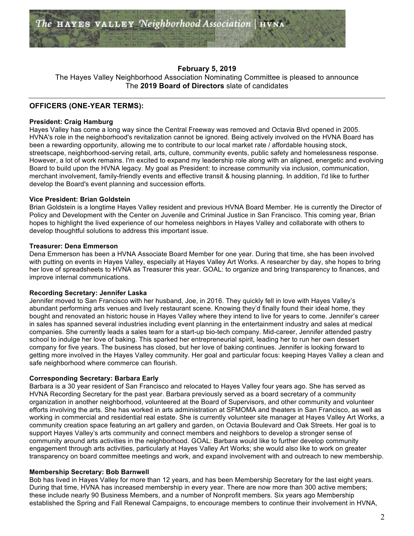

## **February 5, 2019**

The Hayes Valley Neighborhood Association Nominating Committee is pleased to announce The **2019 Board of Directors** slate of candidates

## **OFFICERS (ONE-YEAR TERMS):**

#### **President: Craig Hamburg**

Hayes Valley has come a long way since the Central Freeway was removed and Octavia Blvd opened in 2005. HVNA's role in the neighborhood's revitalization cannot be ignored. Being actively involved on the HVNA Board has been a rewarding opportunity, allowing me to contribute to our local market rate / affordable housing stock, streetscape, neighborhood-serving retail, arts, culture, community events, public safety and homelessness response. However, a lot of work remains. I'm excited to expand my leadership role along with an aligned, energetic and evolving Board to build upon the HVNA legacy. My goal as President: to increase community via inclusion, communication, merchant involvement, family-friendly events and effective transit & housing planning. In addition, I'd like to further develop the Board's event planning and succession efforts.

### **Vice President: Brian Goldstein**

Brian Goldstein is a longtime Hayes Valley resident and previous HVNA Board Member. He is currently the Director of Policy and Development with the Center on Juvenile and Criminal Justice in San Francisco. This coming year, Brian hopes to highlight the lived experience of our homeless neighbors in Hayes Valley and collaborate with others to develop thoughtful solutions to address this important issue.

#### **Treasurer: Dena Emmerson**

Dena Emmerson has been a HVNA Associate Board Member for one year. During that time, she has been involved with putting on events in Hayes Valley, especially at Hayes Valley Art Works. A researcher by day, she hopes to bring her love of spreadsheets to HVNA as Treasurer this year. GOAL: to organize and bring transparency to finances, and improve internal communications.

#### **Recording Secretary: Jennifer Laska**

Jennifer moved to San Francisco with her husband, Joe, in 2016. They quickly fell in love with Hayes Valley's abundant performing arts venues and lively restaurant scene. Knowing they'd finally found their ideal home, they bought and renovated an historic house in Hayes Valley where they intend to live for years to come. Jennifer's career in sales has spanned several industries including event planning in the entertainment industry and sales at medical companies. She currently leads a sales team for a start-up bio-tech company. Mid-career, Jennifer attended pastry school to indulge her love of baking. This sparked her entrepreneurial spirit, leading her to run her own dessert company for five years. The business has closed, but her love of baking continues. Jennifer is looking forward to getting more involved in the Hayes Valley community. Her goal and particular focus: keeping Hayes Valley a clean and safe neighborhood where commerce can flourish.

#### **Corresponding Secretary: Barbara Early**

Barbara is a 30 year resident of San Francisco and relocated to Hayes Valley four years ago. She has served as HVNA Recording Secretary for the past year. Barbara previously served as a board secretary of a community organization in another neighborhood, volunteered at the Board of Supervisors, and other community and volunteer efforts involving the arts. She has worked in arts administration at SFMOMA and theaters in San Francisco, as well as working in commercial and residential real estate. She is currently volunteer site manager at Hayes Valley Art Works, a community creation space featuring an art gallery and garden, on Octavia Boulevard and Oak Streets. Her goal is to support Hayes Valley's arts community and connect members and neighbors to develop a stronger sense of community around arts activities in the neighborhood. GOAL: Barbara would like to further develop community engagement through arts activities, particularly at Hayes Valley Art Works; she would also like to work on greater transparency on board committee meetings and work, and expand involvement with and outreach to new membership.

#### **Membership Secretary: Bob Barnwell**

Bob has lived in Hayes Valley for more than 12 years, and has been Membership Secretary for the last eight years. During that time, HVNA has increased membership in every year. There are now more than 300 active members; these include nearly 90 Business Members, and a number of Nonprofit members. Six years ago Membership established the Spring and Fall Renewal Campaigns, to encourage members to continue their involvement in HVNA,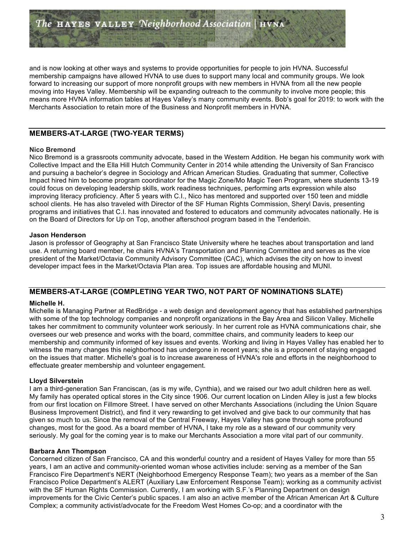and is now looking at other ways and systems to provide opportunities for people to join HVNA. Successful membership campaigns have allowed HVNA to use dues to support many local and community groups. We look forward to increasing our support of more nonprofit groups with new members in HVNA from all the new people moving into Hayes Valley. Membership will be expanding outreach to the community to involve more people; this means more HVNA information tables at Hayes Valley's many community events. Bob's goal for 2019: to work with the Merchants Association to retain more of the Business and Nonprofit members in HVNA.

# **MEMBERS-AT-LARGE (TWO-YEAR TERMS)**

## **Nico Bremond**

Nico Bremond is a grassroots community advocate, based in the Western Addition. He began his community work with Collective Impact and the Ella Hill Hutch Community Center in 2014 while attending the University of San Francisco and pursuing a bachelor's degree in Sociology and African American Studies. Graduating that summer, Collective Impact hired him to become program coordinator for the Magic Zone/Mo Magic Teen Program, where students 13-19 could focus on developing leadership skills, work readiness techniques, performing arts expression while also improving literacy proficiency. After 5 years with C.I., Nico has mentored and supported over 150 teen and middle school clients. He has also traveled with Director of the SF Human Rights Commission, Sheryl Davis, presenting programs and initiatives that C.I. has innovated and fostered to educators and community advocates nationally. He is on the Board of Directors for Up on Top, another afterschool program based in the Tenderloin.

### **Jason Henderson**

Jason is professor of Geography at San Francisco State University where he teaches about transportation and land use. A returning board member, he chairs HVNA's Transportation and Planning Committee and serves as the vice president of the Market/Octavia Community Advisory Committee (CAC), which advises the city on how to invest developer impact fees in the Market/Octavia Plan area. Top issues are affordable housing and MUNI.

# **MEMBERS-AT-LARGE (COMPLETING YEAR TWO, NOT PART OF NOMINATIONS SLATE)**

#### **Michelle H.**

Michelle is Managing Partner at RedBridge - a web design and development agency that has established partnerships with some of the top technology companies and nonprofit organizations in the Bay Area and Silicon Valley. Michelle takes her commitment to community volunteer work seriously. In her current role as HVNA communications chair, she oversees our web presence and works with the board, committee chairs, and community leaders to keep our membership and community informed of key issues and events. Working and living in Hayes Valley has enabled her to witness the many changes this neighborhood has undergone in recent years; she is a proponent of staying engaged on the issues that matter. Michelle's goal is to increase awareness of HVNA's role and efforts in the neighborhood to effectuate greater membership and volunteer engagement.

#### **Lloyd Silverstein**

I am a third-generation San Franciscan, (as is my wife, Cynthia), and we raised our two adult children here as well. My family has operated optical stores in the City since 1906. Our current location on Linden Alley is just a few blocks from our first location on Fillmore Street. I have served on other Merchants Associations (including the Union Square Business Improvement District), and find it very rewarding to get involved and give back to our community that has given so much to us. Since the removal of the Central Freeway, Hayes Valley has gone through some profound changes, most for the good. As a board member of HVNA, I take my role as a steward of our community very seriously. My goal for the coming year is to make our Merchants Association a more vital part of our community.

#### **Barbara Ann Thompson**

Concerned citizen of San Francisco, CA and this wonderful country and a resident of Hayes Valley for more than 55 years, I am an active and community-oriented woman whose activities include: serving as a member of the San Francisco Fire Department's NERT (Neighborhood Emergency Response Team); two years as a member of the San Francisco Police Department's ALERT (Auxiliary Law Enforcement Response Team); working as a community activist with the SF Human Rights Commission. Currently, I am working with S.F.'s Planning Department on design improvements for the Civic Center's public spaces. I am also an active member of the African American Art & Culture Complex; a community activist/advocate for the Freedom West Homes Co-op; and a coordinator with the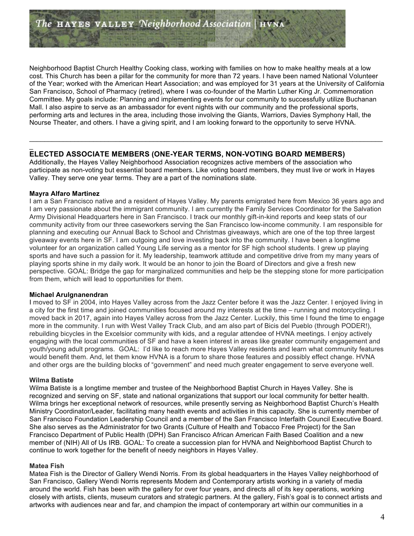Neighborhood Baptist Church Healthy Cooking class, working with families on how to make healthy meals at a low cost. This Church has been a pillar for the community for more than 72 years. I have been named National Volunteer of the Year; worked with the American Heart Association; and was employed for 31 years at the University of California San Francisco, School of Pharmacy (retired), where I was co-founder of the Martin Luther King Jr. Commemoration Committee. My goals include: Planning and implementing events for our community to successfully utilize Buchanan Mall. I also aspire to serve as an ambassador for event nights with our community and the professional sports, performing arts and lectures in the area, including those involving the Giants, Warriors, Davies Symphony Hall, the Nourse Theater, and others. I have a giving spirit, and I am looking forward to the opportunity to serve HVNA.

# **ELECTED ASSOCIATE MEMBERS (ONE-YEAR TERMS, NON-VOTING BOARD MEMBERS)**

Additionally, the Hayes Valley Neighborhood Association recognizes active members of the association who participate as non-voting but essential board members. Like voting board members, they must live or work in Hayes Valley. They serve one year terms. They are a part of the nominations slate.

 $\_$  ,  $\_$  ,  $\_$  ,  $\_$  ,  $\_$  ,  $\_$  ,  $\_$  ,  $\_$  ,  $\_$  ,  $\_$  ,  $\_$  ,  $\_$  ,  $\_$  ,  $\_$  ,  $\_$  ,  $\_$  ,  $\_$  ,  $\_$  ,  $\_$  ,  $\_$  ,  $\_$  ,  $\_$  ,  $\_$  ,  $\_$  ,  $\_$  ,  $\_$  ,  $\_$  ,  $\_$  ,  $\_$  ,  $\_$  ,  $\_$  ,  $\_$  ,  $\_$  ,  $\_$  ,  $\_$  ,  $\_$  ,  $\_$  ,

### **Mayra Alfaro Martinez**

\_

I am a San Francisco native and a resident of Hayes Valley. My parents emigrated here from Mexico 36 years ago and I am very passionate about the immigrant community. I am currently the Family Services Coordinator for the Salvation Army Divisional Headquarters here in San Francisco. I track our monthly gift-in-kind reports and keep stats of our community activity from our three caseworkers serving the San Francisco low-income community. I am responsible for planning and executing our Annual Back to School and Christmas giveaways, which are one of the top three largest giveaway events here in SF. I am outgoing and love investing back into the community. I have been a longtime volunteer for an organization called Young Life serving as a mentor for SF high school students. I grew up playing sports and have such a passion for it. My leadership, teamwork attitude and competitive drive from my many years of playing sports shine in my daily work. It would be an honor to join the Board of Directors and give a fresh new perspective. GOAL: Bridge the gap for marginalized communities and help be the stepping stone for more participation from them, which will lead to opportunities for them.

#### **Michael Arulgnanendran**

I moved to SF in 2004, into Hayes Valley across from the Jazz Center before it was the Jazz Center. I enjoyed living in a city for the first time and joined communities focused around my interests at the time – running and motorcycling. I moved back in 2017, again into Hayes Valley across from the Jazz Center. Luckily, this time I found the time to engage more in the community. I run with West Valley Track Club, and am also part of Bicis del Pueblo (through PODER!), rebuilding bicycles in the Excelsior community with kids, and a regular attendee of HVNA meetings. I enjoy actively engaging with the local communities of SF and have a keen interest in areas like greater community engagement and youth/young adult programs. GOAL: I'd like to reach more Hayes Valley residents and learn what community features would benefit them. And, let them know HVNA is a forum to share those features and possibly effect change. HVNA and other orgs are the building blocks of "government" and need much greater engagement to serve everyone well.

#### **Wilma Batiste**

Wilma Batiste is a longtime member and trustee of the Neighborhood Baptist Church in Hayes Valley. She is recognized and serving on SF, state and national organizations that support our local community for better health. Wilma brings her exceptional network of resources, while presently serving as Neighborhood Baptist Church's Health Ministry Coordinator/Leader, facilitating many health events and activities in this capacity. She is currently member of San Francisco Foundation Leadership Council and a member of the San Francisco Interfaith Council Executive Board. She also serves as the Administrator for two Grants (Culture of Health and Tobacco Free Project) for the San Francisco Department of Public Health (DPH) San Francisco African American Faith Based Coalition and a new member of (NIH) All of Us IRB. GOAL: To create a succession plan for HVNA and Neighborhood Baptist Church to continue to work together for the benefit of needy neighbors in Hayes Valley.

#### **Matea Fish**

Matea Fish is the Director of Gallery Wendi Norris. From its global headquarters in the Hayes Valley neighborhood of San Francisco, Gallery Wendi Norris represents Modern and Contemporary artists working in a variety of media around the world. Fish has been with the gallery for over four years, and directs all of its key operations, working closely with artists, clients, museum curators and strategic partners. At the gallery, Fish's goal is to connect artists and artworks with audiences near and far, and champion the impact of contemporary art within our communities in a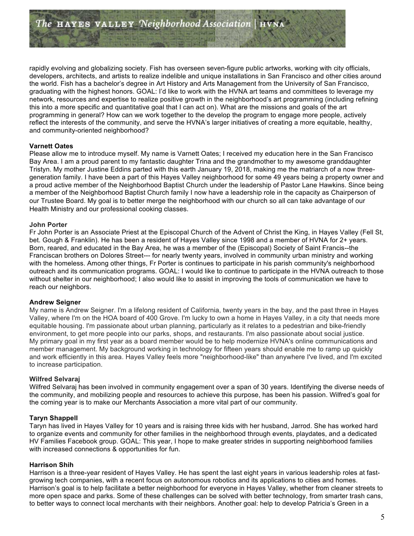rapidly evolving and globalizing society. Fish has overseen seven-figure public artworks, working with city officials, developers, architects, and artists to realize indelible and unique installations in San Francisco and other cities around the world. Fish has a bachelor's degree in Art History and Arts Management from the University of San Francisco, graduating with the highest honors. GOAL: I'd like to work with the HVNA art teams and committees to leverage my network, resources and expertise to realize positive growth in the neighborhood's art programming (including refining this into a more specific and quantitative goal that I can act on). What are the missions and goals of the art programming in general? How can we work together to the develop the program to engage more people, actively reflect the interests of the community, and serve the HVNA's larger initiatives of creating a more equitable, healthy, and community-oriented neighborhood?

### **Varnett Oates**

Please allow me to introduce myself. My name is Varnett Oates; I received my education here in the San Francisco Bay Area. I am a proud parent to my fantastic daughter Trina and the grandmother to my awesome granddaughter Tristyn. My mother Justine Eddins parted with this earth January 19, 2018, making me the matriarch of a now threegeneration family. I have been a part of this Hayes Valley neighborhood for some 49 years being a property owner and a proud active member of the Neighborhood Baptist Church under the leadership of Pastor Lane Hawkins. Since being a member of the Neighborhood Baptist Church family I now have a leadership role in the capacity as Chairperson of our Trustee Board. My goal is to better merge the neighborhood with our church so all can take advantage of our Health Ministry and our professional cooking classes.

#### **John Porter**

Fr John Porter is an Associate Priest at the Episcopal Church of the Advent of Christ the King, in Hayes Valley (Fell St, bet. Gough & Franklin). He has been a resident of Hayes Valley since 1998 and a member of HVNA for 2+ years. Born, reared, and educated in the Bay Area, he was a member of the (Episcopal) Society of Saint Francis--the Franciscan brothers on Dolores Street--- for nearly twenty years, involved in community urban ministry and working with the homeless. Among other things, Fr Porter is continues to participate in his parish community's neighborhood outreach and its communication programs. GOAL: I would like to continue to participate in the HVNA outreach to those without shelter in our neighborhood; I also would like to assist in improving the tools of communication we have to reach our neighbors.

## **Andrew Seigner**

My name is Andrew Seigner. I'm a lifelong resident of California, twenty years in the bay, and the past three in Hayes Valley, where I'm on the HOA board of 400 Grove. I'm lucky to own a home in Hayes Valley, in a city that needs more equitable housing. I'm passionate about urban planning, particularly as it relates to a pedestrian and bike-friendly environment, to get more people into our parks, shops, and restaurants. I'm also passionate about social justice. My primary goal in my first year as a board member would be to help modernize HVNA's online communications and member management. My background working in technology for fifteen years should enable me to ramp up quickly and work efficiently in this area. Hayes Valley feels more "neighborhood-like" than anywhere I've lived, and I'm excited to increase participation.

## **Wilfred Selvaraj**

Wilfred Selvaraj has been involved in community engagement over a span of 30 years. Identifying the diverse needs of the community, and mobilizing people and resources to achieve this purpose, has been his passion. Wilfred's goal for the coming year is to make our Merchants Association a more vital part of our community.

#### **Taryn Shappell**

Taryn has lived in Hayes Valley for 10 years and is raising three kids with her husband, Jarrod. She has worked hard to organize events and community for other families in the neighborhood through events, playdates, and a dedicated HV Families Facebook group. GOAL: This year, I hope to make greater strides in supporting neighborhood families with increased connections & opportunities for fun.

## **Harrison Shih**

Harrison is a three-year resident of Hayes Valley. He has spent the last eight years in various leadership roles at fastgrowing tech companies, with a recent focus on autonomous robotics and its applications to cities and homes. Harrison's goal is to help facilitate a better neighborhood for everyone in Hayes Valley, whether from cleaner streets to more open space and parks. Some of these challenges can be solved with better technology, from smarter trash cans, to better ways to connect local merchants with their neighbors. Another goal: help to develop Patricia's Green in a